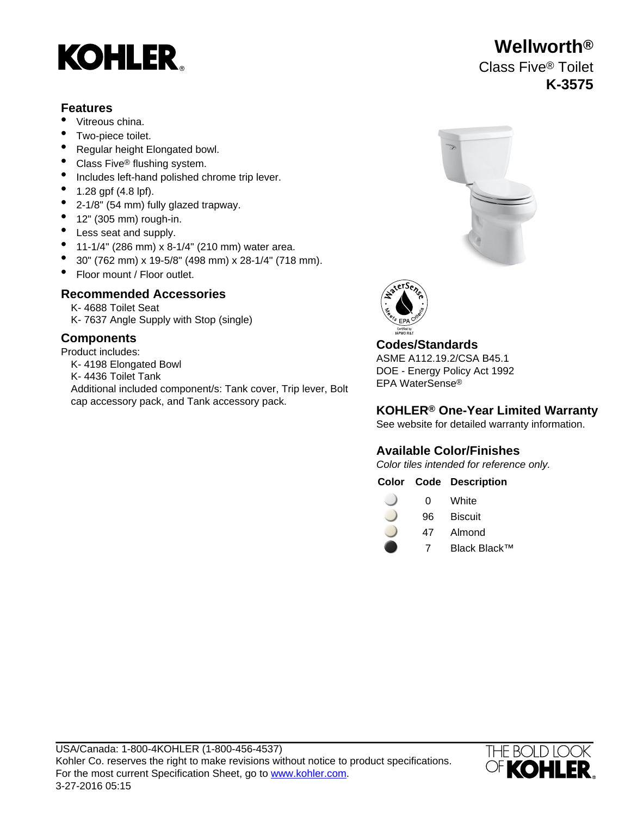# **KOHLER**

#### **Features**

- Vitreous china.
- Two-piece toilet.
- Regular height Elongated bowl.
- Class Five<sup>®</sup> flushing system.
- Includes left-hand polished chrome trip lever.
- 1.28 gpf (4.8 lpf).
- 2-1/8" (54 mm) fully glazed trapway.
- $\bullet$  12" (305 mm) rough-in.
- Less seat and supply.
- 11-1/4" (286 mm) x 8-1/4" (210 mm) water area.
- 30" (762 mm) x 19-5/8" (498 mm) x 28-1/4" (718 mm).
- Floor mount / Floor outlet.

# **Recommended Accessories**

K- 4688 Toilet Seat K- 7637 Angle Supply with Stop (single)

# **Components**

Product includes: K- 4198 Elongated Bowl K- 4436 Toilet Tank Additional included component/s: Tank cover, Trip lever, Bolt cap accessory pack, and Tank accessory pack.





# **Codes/Standards**

ASME A112.19.2/CSA B45.1 DOE - Energy Policy Act 1992 EPA WaterSense®

#### **KOHLER® One-Year Limited Warranty**

See website for detailed warranty information.

# **Available Color/Finishes**

Color tiles intended for reference only.

#### **Color Code Description**

- 0 White
- 96 Biscuit
- 47 Almond
	- 7 Black Black™



# **Wellworth®** Class Five® Toilet **K-3575**